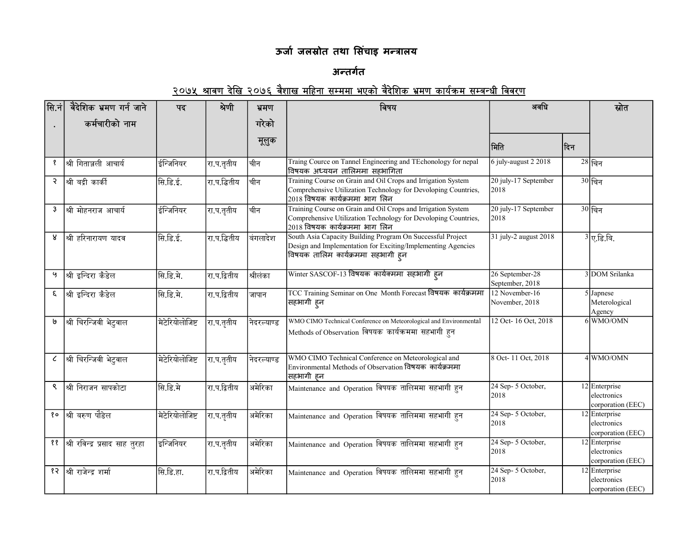## ऊर्जा जलस्रोत तथा सिंचाइ मन्त्रालय

## अन्तर्गत

## <u>२०७५ श्रावण देखि २०७६ वैशाख महिना सम्ममा भएको वैदेशिक भ्रमण कार्यक्रम सम्बन्धी विवरण</u>

| सि.नं          | वैदेशिक भ्रमण गर्न जाने            | पद              | श्रेणी        | भ्रमण       | विषय                                                                                                                                                                            | अवधि                               |      | स्रोत                                             |
|----------------|------------------------------------|-----------------|---------------|-------------|---------------------------------------------------------------------------------------------------------------------------------------------------------------------------------|------------------------------------|------|---------------------------------------------------|
|                | कर्मचारीको नाम                     |                 |               | गरेको       |                                                                                                                                                                                 |                                    |      |                                                   |
|                |                                    |                 |               | मूलुक       |                                                                                                                                                                                 | मिति                               | ∣दिन |                                                   |
| १              | श्री गिताञ्जली आचार्य              | ईन्जिनियर       | रा.प.तृतीय    | चीन         | Traing Cource on Tannel Engineering and TEchonology for nepal<br>विषयक अध्ययन तालिममा सहभागिता                                                                                  | 6 july-august 2 2018               |      | $28$ चिन                                          |
| २              | श्री बद्री कार्की                  | सि.डि.ई.        | रा.प.द्धितीय  | चीिन        | Training Course on Grain and Oil Crops and Irrigation System<br>Comprehensive Utilization Technology for Devoloping Countries,<br>$\vert$ 2018 विषयक कार्यक्रममा भाग लिन        | 20 july-17 September<br>2018       |      | $30$ चिन                                          |
| $\mathfrak{Z}$ | श्री मोहनराज आचार्य                | ईन्जिनियर       | ∣रा.प.तृतीय   | चीन         | Training Course on Grain and Oil Crops and Irrigation System<br>Comprehensive Utilization Technology for Devoloping Countries,<br>$\left 2018\right.$ विषयक कार्यक्रममा भाग लिन | 20 july-17 September<br>2018       |      | $30$ चिन                                          |
| 8              | श्री हरिनारायण यादव                | सि.डि.ई.        | रा.प.द्वितीय  | बिंगलादेश   | South Asia Capacity Building Program On Successful Project<br>Design and Implementation for Exciting/Implementing Agencies<br>विषयक तालिम कार्यक्रममा सहभागी हुन                | 31 july-2 august 2018              |      | $3\sqrt{2.5}$ बि.                                 |
| Ч              | श्री इन्दिरा कँडेल                 | सि.डि.मे.       | रा.प.द्वितीय  | श्रीलंका    | Winter SASCOF-13 विषयक कार्यक्ममा सहभागी ह्न                                                                                                                                    | 26 September-28<br>September, 2018 |      | 3 DOM Srilanka                                    |
| ξ              | श्री इन्दिरा कँडेल                 | सि.डि.मे.       | रा.प.द्वितीय  | जापान       | TCC Training Seminar on One Month Forecast विषयक कार्यक्रममा<br> सहभागी हुन                                                                                                     | 12 November-16<br>November, 2018   |      | 5 Japnese<br>Meterological<br>Agency              |
| ს              | श्री चिरन्जिवी भेटुवाल             | मेटेरियोलोजिष्ट | रा.प.तृतीय    | निदरल्याण्ड | WMO CIMO Technical Conference on Meteorological and Environmental<br>Methods of Observation विषयक कार्यक्रममा सहभागी हुन                                                        | 12 Oct-16 Oct, 2018                |      | 6 WMO/OMN                                         |
| $\epsilon$     | श्री चिरन्जिवी भेटुवाल             | मेटेरियोलोजिष्ट | रा.प.तृतीय    | नेदरल्याण्ड | WMO CIMO Technical Conference on Meteorological and<br>Environmental Methods of Observation विषयक कार्यक्रममा<br> सहभागी हन                                                     | 8 Oct-11 Oct, 2018                 |      | 4 WMO/OMN                                         |
| ९              | श्री निराजन सापकोटा                | सि.डि.मे        | रा.प.द्वितीय  | अमेरिका     | Maintenance and Operation विषयक तालिममा सहभागी हुन                                                                                                                              | 24 Sep-5 October,<br>2018          |      | 12 Enterprise<br>electronics<br>corporation (EEC) |
| ęο             | श्री बरुण पौडेल                    | मेटेरियोलोजिष्ट | ∣रा.प.तृतीय   | अमेरिका     | Maintenance and Operation विषयक तालिममा सहभागी हुन                                                                                                                              | 24 Sep- 5 October,<br>2018         |      | 12 Enterprise<br>electronics<br>corporation (EEC) |
|                | ११  श्री रविन्द्र प्रसाद साह तुरहा | इन्जिनियर       | रा.प.तृतीय    | अमेरिका     | Maintenance and Operation विषयक तालिममा सहभागी हुन                                                                                                                              | 24 Sep- 5 October,<br>2018         |      | 12 Enterprise<br>electronics<br>corporation (EEC) |
|                | १२  श्री राजेन्द्र शर्मा           | सि.डि.हा.       | ∣रा.प.द्वितीय | अमेरिका     | Maintenance and Operation विषयक तालिममा सहभागी हुन                                                                                                                              | 24 Sep-5 October,<br>2018          |      | 12 Enterprise<br>electronics<br>corporation (EEC) |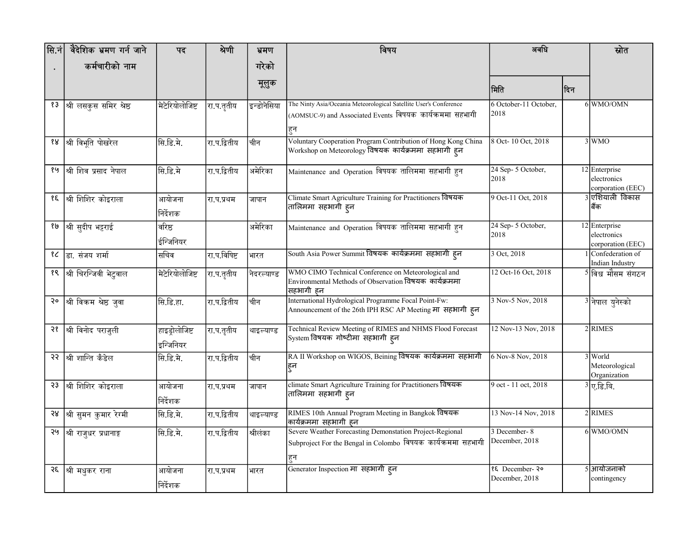| सि.नं | वैदेशिक भ्रमण गर्न जाने | पद                          | श्रेणी       | भ्रमण       | विषय                                                                                                                                  | अवधि                             |      | स्रोत                                             |
|-------|-------------------------|-----------------------------|--------------|-------------|---------------------------------------------------------------------------------------------------------------------------------------|----------------------------------|------|---------------------------------------------------|
|       | कर्मचारीको नाम          |                             |              | गरेको       |                                                                                                                                       |                                  |      |                                                   |
|       |                         |                             |              | मूलुक       |                                                                                                                                       |                                  |      |                                                   |
|       |                         |                             |              |             |                                                                                                                                       | मिति                             | ∣दिन |                                                   |
| १३    | श्री लसकुस समिर श्रेष्ठ | मेटेरियोलोजिष्ट             | रा.प.तृतीय   | इन्डोनेसिया | The Ninty Asia/Oceania Meteorological Satellite User's Conference<br>(AOMSUC-9) and Associated Events विषयक कार्यक्रममा सहभागी<br>हुन | 6 October-11 October.<br>2018    |      | 6 WMO/OMN                                         |
| १४    | श्री विभूति पोखरेल      | सि.डि.मे.                   | रा.प.द्वितीय | चीन         | Voluntary Cooperation Program Contribution of Hong Kong China<br>Workshop on Meteorology विषयक कार्यक्रममा सहभागी हन                  | 8 Oct-10 Oct, 2018               |      | 3 WMO                                             |
| १५    | श्री शिव प्रसाद नेपाल   | सि.डि.मे                    | रा.प.द्वितीय | अमेरिका     | Maintenance and Operation विषयक तालिममा सहभागी हुन                                                                                    | 24 Sep- 5 October,<br>2018       |      | 12 Enterprise<br>electronics<br>corporation (EEC) |
| १६    | श्री शिशिर कोइराला      | आयोजना<br>निर्देशक          | रा.प.प्रथम   | जापान       | Climate Smart Agriculture Training for Practitioners विषयक<br>तालिममा सहभागी हुन                                                      | 9 Oct-11 Oct, 2018               |      | 3 एशियाली विकास<br>बिंक                           |
| १७    | श्री सुदीप भट्टराई      | वरिष्ठ<br>ईन्जिनियर         |              | अमेरिका     | Maintenance and Operation विषयक तालिममा सहभागी हुन                                                                                    | 24 Sep- 5 October,<br>2018       |      | 12 Enterprise<br>electronics<br>corporation (EEC) |
| १८    | डा. संजय शर्मा          | सचिव                        | रा.प.विषिष्ट | भारत        | South Asia Power Summit विषयक कार्यक्रममा सहभागी हन                                                                                   | 3 Oct, 2018                      |      | 1 Confederation of<br>Indian Industry             |
| १९    | श्री चिरन्जिवी भेटुवाल  | मेटेरियोलोजिष्ट             | रा.प.तृतीय   | नेदरल्याण्ड | WMO CIMO Technical Conference on Meteorological and<br>Environmental Methods of Observation विषयक कार्यक्रममा<br> सहभागी हन           | 12 Oct-16 Oct, 2018              |      | <sup>5</sup> किश्व मौसम संगठन                     |
| २०    | श्री विकम श्रेष्ठ जुवा  | सि.डि.हा.                   | रा.प.द्वितीय | चीन         | International Hydrological Programme Focal Point-Fw:<br>Announcement of the 26th IPH RSC AP Meeting मा सहभागी हन                      | 3 Nov-5 Nov, 2018                |      | 3 नेपाल युनेस्को                                  |
| २१    | श्री विनोद पराजुली      | हाइड्रोलोजिष्ट<br>इन्जिनियर | रा.प.तृतीय   | थाइल्याण्ड  | Technical Review Meeting of RIMES and NHMS Flood Forecast<br>System विषयक गोष्टीमा सहभागी हन                                          | 12 Nov-13 Nov, 2018              |      | 2RIMES                                            |
| રર    | ।<br>श्री शान्ति कँडेल  | सि.डि.मे.                   | रा.प.द्वितीय | चीन         | RA II Workshop on WIGOS, Beining विषयक कार्यक्रममा सहभागी<br>हुन                                                                      | 6 Nov-8 Nov, 2018                |      | 3 World<br>Meteorological<br>Organization         |
| २३    | श्री शिशिर कोइराला      | आयोजना<br>निर्देशक          | रा.प.प्रथम   | जापान       | climate Smart Agriculture Training for Practitioners विषयक<br> तालिममा सहभागी ह्न                                                     | 9 oct - 11 oct, 2018             |      | $\overline{3}$ ए.डि.बि.                           |
| 58    | श्री सुमन कुमार रेग्मी  | सि.डि.मे.                   | रा.प.द्वितीय | थाइल्याण्ड  | RIMES 10th Annual Program Meeting in Bangkok विषयक<br>कार्यक्रममा सहभागी हन                                                           | 13 Nov-14 Nov, 2018              |      | 2 RIMES                                           |
| २५    | श्री राजुधर प्रधानाङ्ग  | सि.डि.मे.                   | रा.प.द्वितीय | श्रीलंका    | Severe Weather Forecasting Demonstation Project-Regional<br>Subproject For the Bengal in Colombo विषयक कार्यक्रममा सहभागी<br>हुन      | 3 December-8<br>December, 2018   |      | 6 WMO/OMN                                         |
|       | २६  श्री मधुकर राना     | आयोजना<br>निर्देशक          | रा.प.प्रथम   | भारत        | Generator Inspection मा सहभागी ह्न                                                                                                    | १६ December-२०<br>December, 2018 |      | <u>ऽ]आयोजनाको</u><br>contingency                  |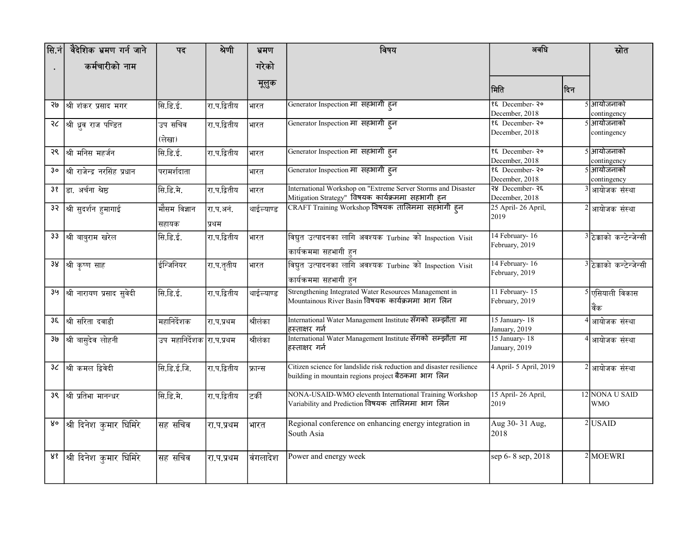| सि.नं | वैदेशिक भ्रमण गर्न जाने      | पद                        | श्रेणी             | भ्रमण      | विषय                                                                                                                             | अवधि                              |      | स्रोत                        |
|-------|------------------------------|---------------------------|--------------------|------------|----------------------------------------------------------------------------------------------------------------------------------|-----------------------------------|------|------------------------------|
|       | कर्मचारीको नाम               |                           |                    | गरेको      |                                                                                                                                  |                                   |      |                              |
|       |                              |                           |                    | मूलुक      |                                                                                                                                  | मिति                              | ∣दिन |                              |
| રાજ   | श्री शंकर प्रसाद मगर         | सि.डि.ई.                  | रा.प.द्वितीय       | भारत       | Generator Inspection मा सहभागी हन                                                                                                | १६ December-२०<br>December, 2018  |      | 5]आयोजनाको<br>contingency    |
|       | २८  श्री ध्रुव राज पण्डित    | उप सचिव<br>(लेखा)         | रा.प.द्वितीय       | भारत       | Generator Inspection मा) सहभागी हुन                                                                                              | १६ December-२०<br>December, 2018  |      | 5]आयोजनाको<br>contingency    |
| २९    | श्री मनिस महर्जन             | सि.डि.ई.                  | रा.प.द्वितीय       | भारत       | Generator Inspection मा सहभागी हून                                                                                               | १६ December- २०<br>December, 2018 |      | 5 आयोजनाको<br>contingency    |
| Зo    | श्री राजेन्द्र नरसिंह प्रधान | परामर्शदाता               |                    | भारत       | Generator Inspection मा सहभागी हून                                                                                               | १६ December-२०<br>December, 2018  |      | 5 आयोजनाको<br>contingency    |
| 38    | डा. अर्चना श्रेष्ठ           | सि.डि.मे.                 | रा.प.द्वितीय       | भारत       | International Workshop on "Extreme Server Storms and Disaster<br>Mitigation Strategy" विषयक कार्यक्रममा सहभागी ह् <mark>न</mark> | २४ December-२६<br>December, 2018  |      | 3 आयोजक संस्था               |
|       | 3२ श्री सुदर्शन हुमागाई      | मौसम विज्ञान<br>सहायक     | रा.प.अनं.<br>प्रथम | थाईल्याण्ड | CRAFT Training Workshop विषयक तालिममा सहभागी हुन                                                                                 | 25 April-26 April,<br>2019        |      | 2 आयोजक संस्था               |
|       | 33  श्री बाबुराम खरेल        | सि.डि.ई.                  | रा.प.द्वितीय       | भारत       | विद्युत उत्पादनका लागि अवश्यक Turbine को Inspection Visit<br>कार्यक्रममा सहभागी हुन                                              | 14 February-16<br>February, 2019  |      | 3 ठेक्काको कन्टेन्जेन्सी     |
|       | 38  श्री कृष्ण साह           | इन्जिनियर                 | रा.प.तृतीय         | भारत       | .<br>विद्युत उत्पादनका लागि अवश्यक Turbine को Inspection Visit<br>कार्यक्रममा सहभागी हुन                                         | 14 February-16<br>February, 2019  |      | 3 ठेक्काको कन्टेन्जेन्सी     |
| ३५    | श्री नारायण प्रसाद सुवेदी    | सि.डि.ई.                  | रा.प.द्वितीय       | थाईल्याण्ड | Strengthening Integrated Water Resources Management in<br>Mountainous River Basin विषयक कार्यक्रममा भाग लिन                      | 11 February-15<br>February, 2019  |      | 5 एसियाली विकास<br>विंक      |
| ३६    | $\sqrt{ }$ श्री सरिता दवाडी  | महानिर्देशक               | रा.प.प्रथम         | श्रीलंका   | International Water Management Institute सँगको सम्झौता मा<br>हस्ताक्षर गर्न                                                      | 15 January-18<br>January, 2019    |      | 4 आयोजक संस्था               |
| ૩७    | श्री बासुदेव लोहनी           | उप महानिर्देशक रा.प.प्रथम |                    | श्रीलंका   | International Water Management Institute सँगको सम्झौता मा<br>हस्ताक्षर गर्न                                                      | 15 January-18<br>January, 2019    |      | 4 आयोजक संस्था               |
| 36    | श्री कमल द्विवेदी            | सि.डि.ई.जि.               | रा.प.द्वितीय       | फ्रान्स    | Citizen science for landslide risk reduction and disaster resilience<br>building in mountain regions project बैठकमा भाग लिन      | 4 April- 5 April, 2019            |      | 2 आयोजक संस्था               |
| ३९    | श्री प्रतिभा मानन्धर         | सि.डि.मे.                 | रा.प.द्वितीय       | टिकीं      | NONA-USAID-WMO eleventh International Training Workshop<br>Variability and Prediction विषयक  तालिममा भाग  लिन                    | 15 April-26 April,<br>2019        |      | 12 NONA U SAID<br><b>WMO</b> |
| yo    | श्री दिनेश कुमार घिमिरे      | सह सचिव                   | रा.प.प्रथम         | भारत       | Regional conference on enhancing energy integration in<br>South Asia                                                             | Aug 30-31 Aug,<br>2018            |      | $2$ USAID                    |
| ४१    | श्री दिनेश कुमार घिमिरे      | सह सचिव                   | रा.प.प्रथम         | विंगलादेश  | Power and energy week                                                                                                            | sep 6-8 sep, 2018                 |      | $2$ MOEWRI                   |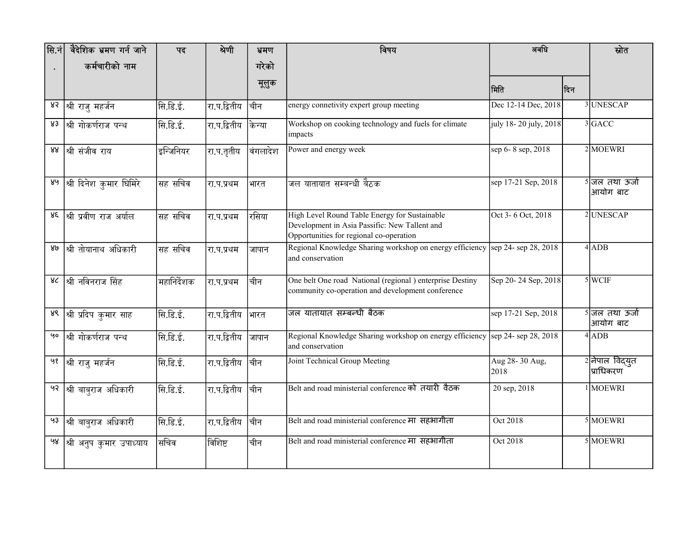| $ \text{\sf R}.\dot$ नं | वैदेशिक भ्रमण गर्न जाने             | पद          | श्रेणी       | भ्रमण     | विषय                                                                                                                                      | अवधि                   |     | स्रोत                         |
|-------------------------|-------------------------------------|-------------|--------------|-----------|-------------------------------------------------------------------------------------------------------------------------------------------|------------------------|-----|-------------------------------|
|                         | कर्मचारीको नाम                      |             |              | गरेको     |                                                                                                                                           |                        |     |                               |
|                         |                                     |             |              | मूलुक     |                                                                                                                                           | मिति                   | दिन |                               |
| ४२                      | श्री राजु महर्जन                    | सि.डि.ई.    | रा.प.द्वितीय | चीिन      | energy connetivity expert group meeting                                                                                                   | Dec 12-14 Dec, 2018    |     | 3 UNESCAP                     |
| 83                      | श्री गोकर्णराज पन्थ                 | सि.डि.ई.    | रा.प.द्वितीय | किन्या    | Workshop on cooking technology and fuels for climate<br>impacts                                                                           | july 18-20 july, 2018  |     | 3GACC                         |
| 88                      | श्री संजीव राय                      | इन्जिनियर   | रा.प.तृतीय   | विंगलादेश | Power and energy week                                                                                                                     | sep 6-8 sep, 2018      |     | $2$ MOEWRI                    |
| ४५                      | श्री दिनेश कुमार घिमिरे             | सह सचिव     | रा.प.प्रथम   | भारत      | जल यातायात सम्बन्धी बैठक                                                                                                                  | sep 17-21 Sep, 2018    |     | 5 जल तथा ऊर्जा<br> आयोग बाट   |
| ४६                      | श्री प्रवीण राज अर्याल              | सह सचिव     | रा.प.प्रथम   | रिसिया    | High Level Round Table Energy for Sustainable<br>Development in Asia Passific: New Tallent and<br>Opportunities for regional co-operation | Oct 3-6 Oct, 2018      |     | 2 UNESCAP                     |
| ४७                      | श्री तोयानाथ अधिकारी                | सह सचिव     | रा.प.प्रथम   | जापान     | Regional Knowledge Sharing workshop on energy efficiency<br>and conservation                                                              | sep 24-sep 28, 2018    |     | $4$ ADB                       |
| ४८                      | श्री नविनराज सिंह                   | महानिर्देशक | रा.प.प्रथम   | चीिन      | One belt One road National (regional) enterprise Destiny<br>community co-operation and development conference                             | Sep 20-24 Sep, 2018    |     | $5$ WCIF                      |
| ४९                      | श्री प्रदिप कुमार साह               | सि.डि.ई.    | रा.प.द्वितीय | भारत      | जल यातायात सम्बन्धी बैठक                                                                                                                  | sep 17-21 Sep, 2018    |     | 5 जिल तथा ऊर्जा<br> आयोग बाट  |
| Чo                      | श्री गोकर्णराज पन्थ                 | सि.डि.ई.    | रा.प.द्वितीय | जापान     | Regional Knowledge Sharing workshop on energy efficiency sep 24-sep 28, 2018<br>and conservation                                          |                        |     | $4$ ADB                       |
| ५१                      | श्री राजु महर्जन                    | सि.डि.ई.    | रा.प.द्वितीय | चीिन      | Joint Technical Group Meeting                                                                                                             | Aug 28-30 Aug,<br>2018 |     | 2 नेपाल विद्युत<br> प्राधिकरण |
|                         | <sup>92</sup>  श्री बाबुराज अधिकारी | सि.डि.ई.    | रा.प.द्वितीय | चीन       | Belt and road ministerial conference को तयारी वैठक                                                                                        | 20 sep, 2018           |     | 1 MOEWRI                      |
| 93                      | श्री बाबुराज अधिकारी                | सि.डि.ई.    | रा.प.द्वितीय | चीिन      | Belt and road ministerial conference मा सहभागीता                                                                                          | Oct 2018               |     | 5 MOEWRI                      |
| ५४                      | श्री अनुप कुमार उपाध्याय            | सचिव        | विशिष्ट      | चीन       | Belt and road ministerial conference मा सहभागीता                                                                                          | Oct 2018               |     | 5 MOEWRI                      |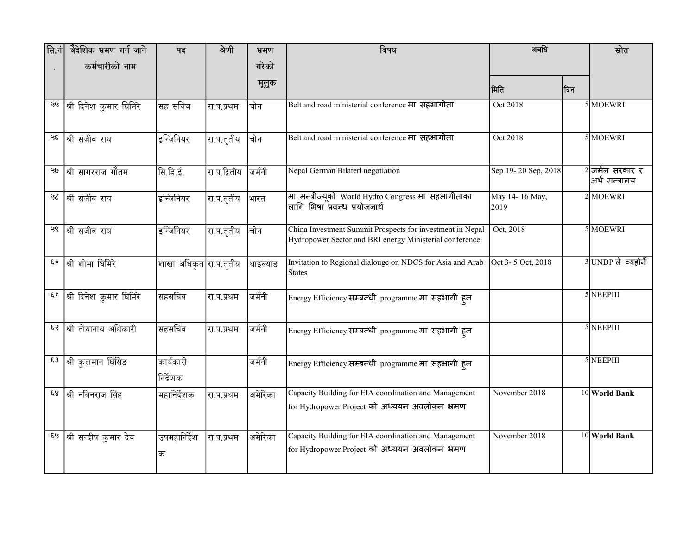| सि.नं | वैदेशिक भ्रमण गर्न जाने             | पद                     | श्रेणी          | भ्रमण    | विषय                                                                                                                 | अवधि                   |      | स्रोत                               |
|-------|-------------------------------------|------------------------|-----------------|----------|----------------------------------------------------------------------------------------------------------------------|------------------------|------|-------------------------------------|
|       | कर्मचारीको नाम                      |                        |                 | गरेको    |                                                                                                                      |                        |      |                                     |
|       |                                     |                        |                 | मूलुक    |                                                                                                                      | मिति                   | ∣दिन |                                     |
| ५५    | श्री दिनेश कुमार घिमिरे             | सह सचिव                | रा.प.प्रथम      | चीन      | Belt and road ministerial conference मा सहभागीता                                                                     | Oct 2018               |      | 5 MOEWRI                            |
|       | <sup>98</sup> श्री संजीव राय        | इन्जिनियर              | रा.प.तृतीय      | चीिन     | Belt and road ministerial conference मा सहभागीता                                                                     | Oct 2018               |      | 5 MOEWRI                            |
| બુર   | श्री सागरराज गौतम                   | सि.डि.ई.               | रा.प.द्वितीय    | जर्मनी   | Nepal German Bilaterl negotiation                                                                                    | Sep 19-20 Sep, 2018    |      | $2$ जर्मन सरकार र<br>अर्थ मन्त्रालय |
|       | <sup>५८</sup>  श्री संजीव राय       | इन्जिनियर              | रा.प.तृतीय      | भारत     | मा. मन्त्रीज्यूको World Hydro Congress मा सहभागीताका<br>लागि भिषा प्रवन्ध प्रयोजनार्थ                                | May 14-16 May,<br>2019 |      | $2$ MOEWRI                          |
| ५९    | श्री संजीव राय                      | इन्जिनियर              | ।<br>रा.प.तृतीय | चीिन     | China Investment Summit Prospects for investment in Nepal<br>Hydropower Sector and BRI energy Ministerial conference | Oct, 2018              |      | 5 MOEWRI                            |
|       | ६०  श्री शोभा घिमिरे                | शाखा अधिकृत रा.प.तृतीय |                 | थाइल्याड | Invitation to Regional dialouge on NDCS for Asia and Arab<br><b>States</b>                                           | Oct 3-5 Oct, 2018      |      | 3 UNDP ले व्यहोर्ने                 |
|       | ६१ श्री दिनेश कुमार घिमिरे          | सहसचिव                 | रा.प.प्रथम      | जर्मनी   | Energy Efficiency सम्बन्धी programme मा सहभागी हन                                                                    |                        |      | 5 NEEPIII                           |
|       | ६२ श्री तोयानाथ अधिकारी             | सहसचिव                 | रा.प.प्रथम      | जर्मनी   | Energy Efficiency सम्बन्धी programme मा सहभागी हन                                                                    |                        |      | $5$ NEEPIII                         |
|       | <sup>६३</sup> श्री कुलमान घिसिङ     | कार्यकारी<br>निर्देशक  |                 | जर्मनी   | Energy Efficiency सम्बन्धी programme मा सहभागी ह्न                                                                   |                        |      | 5 NEEPIII                           |
|       | ६४  श्री नविनराज सिंह               | महानिर्देशक            | रा.प.प्रथम      | अमेरिका  | Capacity Building for EIA coordination and Management<br>for Hydropower Project को अध्ययन अवलोकन भ्रमण               | November 2018          |      | 10 World Bank                       |
|       | <sup>६५</sup> श्री सन्दीप कुमार देव | उपमहानिर्देश<br>क      | रा.प.प्रथम      | अमेरिका  | Capacity Building for EIA coordination and Management<br>for Hydropower Project को अध्ययन अवलोकन भ्रमण               | November 2018          |      | 10 World Bank                       |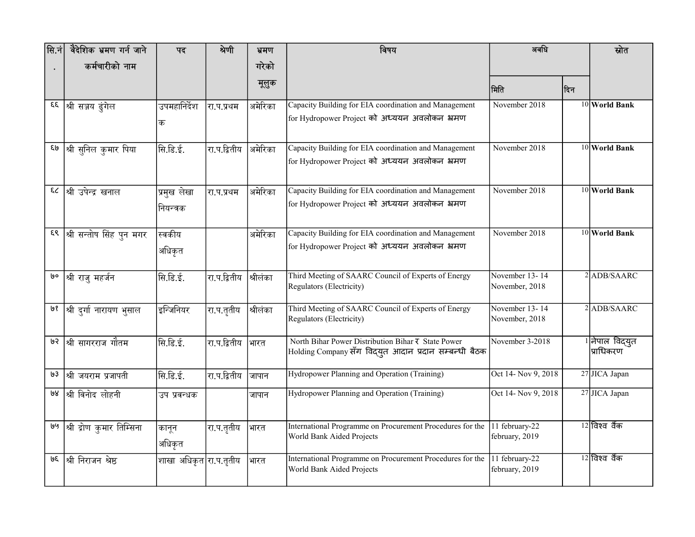| सि.नं | वैदेशिक भ्रमण गर्न जाने      | पद                       | श्रेणी       | भ्रमण    | विषय                                                                                                        | अवधि                             |     | स्रोत                        |
|-------|------------------------------|--------------------------|--------------|----------|-------------------------------------------------------------------------------------------------------------|----------------------------------|-----|------------------------------|
|       | कर्मचारीको नाम               |                          |              | गरेको    |                                                                                                             |                                  |     |                              |
|       |                              |                          |              | मूलुक    |                                                                                                             | मिति                             | दिन |                              |
| ξξ    | श्री सञ्जय ढुंगेल            | उपमहानिर्देश<br>क        | रा.प.प्रथम   | अमेरिका  | Capacity Building for EIA coordination and Management<br>for Hydropower Project को अध्ययन अवलोकन भ्रमण      | November 2018                    |     | 10 World Bank                |
| وا&   | श्री सुनिल कुमार पिया        | सि.डि.ई.                 | रा.प.द्वितीय | अमेरिका  | Capacity Building for EIA coordination and Management<br>for Hydropower Project को अध्ययन अवलोकन भ्रमण      | November 2018                    |     | 10 World Bank                |
| 53    | श्री उपेन्द्र खनाल           | प्रमुख लेखा<br>नियन्त्रक | रा.प.प्रथम   | अमेरिका  | Capacity Building for EIA coordination and Management<br>for Hydropower Project को अध्ययन अवलोकन भ्रमण      | November 2018                    |     | $10$ World Bank              |
| ξ९    | श्री सन्तोष सिंह पुन मगर     | स्वकीय<br>अधिकृत         |              | अमेरिका  | Capacity Building for EIA coordination and Management<br>for Hydropower Project को अध्ययन अवलोकन भ्रमण      | November 2018                    |     | 10 World Bank                |
| oوا   | श्री राजु महर्जन             | सि.डि.ई.                 | रा.प.द्वितीय | श्रीलंका | Third Meeting of SAARC Council of Experts of Energy<br>Regulators (Electricity)                             | November 13-14<br>November, 2018 |     | $2$ ADB/SAARC                |
|       | ७१  श्री दुर्गा नारायण भुसाल | इन्जिनियर                | रा.प.तृतीय   | श्रीलंका | Third Meeting of SAARC Council of Experts of Energy<br>Regulators (Electricity)                             | November 13-14<br>November, 2018 |     | $2$ ADB/SAARC                |
| ७२    | श्री सागरराज गौतम            | सि.डि.ई.                 | रा.प.द्वितीय | भारत     | North Bihar Power Distribution Bihar ₹ State Power<br>Holding Company सँग विद्युत आदान प्रदान सम्बन्धी बैठक | November 3-2018                  |     | 1 नेपाल विद्युत<br>प्राधिकरण |
| ७३    | श्री जयराम प्रजापती          | सि.डि.ई.                 | रा.प.द्वितीय | जापान    | Hydropower Planning and Operation (Training)                                                                | Oct 14- Nov 9, 2018              |     | 27 JICA Japan                |
| ७४    | श्री विनोद लोहनी             | उप प्रवन्धक              |              | जापान    | Hydropower Planning and Operation (Training)                                                                | Oct 14- Nov 9, 2018              |     | 27 JICA Japan                |
| وباوا | श्री द्रोण कुमार तिम्सिना    | कानून<br>अधिकृत          | रा.प.तृतीय   | भारत     | International Programme on Procurement Procedures for the<br>World Bank Aided Projects                      | 11 february-22<br>february, 2019 |     | 12 विश्व वैंक                |
| ७६    | श्री निराजन श्रेष्ठ          | शाखा अधिकृत रा.प.तृतीय   |              | भारत     | International Programme on Procurement Procedures for the<br>World Bank Aided Projects                      | 11 february-22<br>february, 2019 |     | 12 विश्व वैंक                |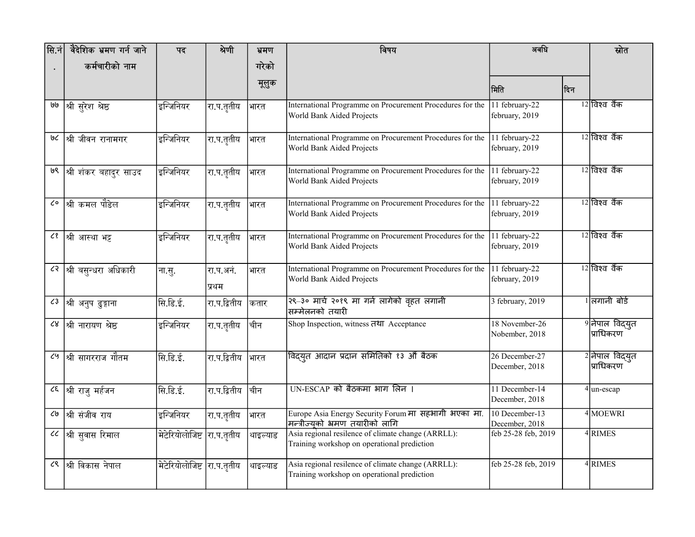| सि.नं                    | वैदेशिक भ्रमण गर्न जाने   | पद                         | श्रेणी             | भ्रमण    | विषय                                                                                              | अवधि                             |     | स्रोत                         |
|--------------------------|---------------------------|----------------------------|--------------------|----------|---------------------------------------------------------------------------------------------------|----------------------------------|-----|-------------------------------|
|                          | कर्मचारीको नाम            |                            |                    | गरेको    |                                                                                                   |                                  |     |                               |
|                          |                           |                            |                    | मूलुक    |                                                                                                   | मिति                             | दिन |                               |
| واوا                     | श्री सुरेश श्रेष्ठ        | इन्जिनियर                  | रा.प.तृतीय         | भारत     | International Programme on Procurement Procedures for the<br>World Bank Aided Projects            | 11 february-22<br>february, 2019 |     | 12 विश्व वैंक                 |
| ७८                       | श्री जीवन रानामगर         | इन्जिनियर                  | रा.प.तृतीय         | भारत     | International Programme on Procurement Procedures for the<br>World Bank Aided Projects            | 11 february-22<br>february, 2019 |     | 12 विश्व वैंक                 |
| ७९                       | श्री शंकर बहादुर साउद     | इन्जिनियर                  | रा.प.तृतीय         | भारत     | International Programme on Procurement Procedures for the<br>World Bank Aided Projects            | 11 february-22<br>february, 2019 |     | $12$ विश्व वैंक               |
| ८०                       | श्री कमल पौडेल            | इन्जिनियर                  | रा.प.तृतीय         | भारत     | International Programme on Procurement Procedures for the<br>World Bank Aided Projects            | 11 february-22<br>february, 2019 |     | 12 विश्व वैंक                 |
| ८१                       | श्री आस्था भट्ट           | इन्जिनियर                  | रा.प.तृतीय         | भारत     | International Programme on Procurement Procedures for the<br>World Bank Aided Projects            | 11 february-22<br>february, 2019 |     | $12$ विश्व वैंक               |
|                          | ८२  श्री बसुन्धरा अधिकारी | ना.सु.                     | रा.प.अनं.<br>प्रथम | भारत     | International Programme on Procurement Procedures for the<br>World Bank Aided Projects            | 11 february-22<br>february, 2019 |     | $12$ विश्व वैंक               |
| ८३                       | श्री अनुप ढुङ्गाना        | सि.डि.ई.                   | रा.प.द्वितीय       | कतार     | २९-३० मार्च २०१९ मा गर्न लागेको वृहत लगानी<br>सिम्मेलनको तयारी                                    | 3 february, 2019                 |     | <u> । लिगानी बोर्ड</u>        |
| ८४                       | श्री नारायण श्रेष्ठ       | इन्जिनियर                  | रा.प.तृतीय         | चीन      | Shop Inspection, witness तथा Acceptance                                                           | 18 November-26<br>Nobember, 2018 |     | 9 नेपाल विद्युत<br> प्राधिकरण |
| ८५                       | श्री सागरराज गौतम         | सि.डि.ई.                   | रा.प.द्वितीय       | भारत     | विदयुत आदान प्रदान समितिको १३ औँ बैठक                                                             | 26 December-27<br>December, 2018 |     | 2 नेपाल विद्युत<br>प्राधिकरण  |
| $\mathcal{E}$            | श्री राजु मर्हजन          | सि.डि.ई.                   | रा.प.द्वितीय       | चीन      | UN-ESCAP को बैठकमा भाग लिन ।                                                                      | 11 December-14<br>December, 2018 |     | $\overline{4}$ un-escap       |
| ८७                       | श्री संजीव राय            | इन्जिनियर                  | रा.प.तृतीय         | भारत     | Europe Asia Energy Security Forum मा सहभागी भएका मा.<br> मन्त्रीज्युको भ्रमण तयारीको लागि         | 10 December-13<br>December, 2018 |     | 4 MOEWRI                      |
| $\mathcal{C}\mathcal{C}$ | श्री सुवास रिमाल          | मेटेरियोलोजिष्ट रा.प.तृतीय |                    | थाइल्याड | Asia regional resilence of climate change (ARRLL):<br>Training workshop on operational prediction | feb 25-28 feb, 2019              |     | 4RIMES                        |
| ८९                       | श्री विकास नेपाल          | मेटेरियोलोजिष्ट रा.प.तृतीय |                    | थाइल्याड | Asia regional resilence of climate change (ARRLL):<br>Training workshop on operational prediction | feb 25-28 feb, 2019              |     | 4 RIMES                       |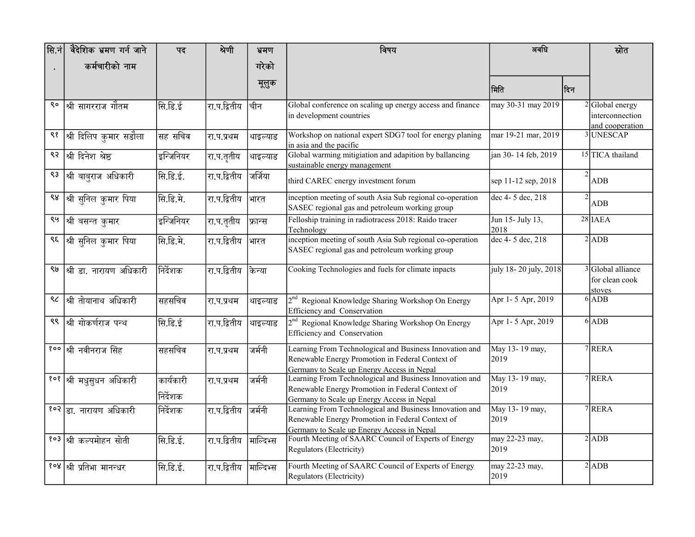| सि.नं | वैदेशिक भ्रमण गर्न जाने               | पद        | श्रेणी       | भ्रमण     | विषय                                                                                                                                                      | अवधि                     |                | स्रोत                                                 |
|-------|---------------------------------------|-----------|--------------|-----------|-----------------------------------------------------------------------------------------------------------------------------------------------------------|--------------------------|----------------|-------------------------------------------------------|
|       | कर्मचारीको नाम                        |           |              | गरेको     |                                                                                                                                                           |                          |                |                                                       |
|       |                                       |           |              | मूलुक     |                                                                                                                                                           | मिति                     | ∣दिन           |                                                       |
| ९०    | श्री सागरराज गौतम                     | सि.डि.ई   | रा.प.द्वितीय | चीन       | Global conference on scaling up energy access and finance<br>in development countries                                                                     | may 30-31 may 2019       |                | 2 Global energy<br>interconnection<br>and cooperation |
| ९१    | श्री दिलिप कुमार सडौला                | सह सचिव   | रा.प.प्रथम   | थाइल्याड  | Workshop on national expert SDG7 tool for energy planing<br>in asia and the pacific                                                                       | mar 19-21 mar, 2019      |                | 3 UNESCAP                                             |
| ९२    | श्री दिनेश श्रेष्ठ                    | इन्जिनियर | रा.प.तृतीय   | थाइल्याड  | Global warming mitigiation and adapition by ballancing<br>sustainable energy management                                                                   | jan 30-14 feb, 2019      |                | 15 TICA thailand                                      |
| ९३    | श्री बाबुराज अधिकारी                  | सि.डि.ई.  | रा.प.द्वितीय | जर्जिया   | third CAREC energy investment forum                                                                                                                       | sep 11-12 sep, 2018      | 2              | <b>ADB</b>                                            |
| ९४    | श्री सुनिल कुमार पिया                 | सि.डि.मे. | रा.प.द्वितीय | भारत      | inception meeting of south Asia Sub regional co-operation<br>SASEC regional gas and petroleum working group                                               | dec 4-5 dec, 218         | $\overline{2}$ | <b>ADB</b>                                            |
| ९५    | श्री बसन्त कुमार                      | इन्जिनियर | रा.प.तृतीय   | फ्रान्स   | Felloship training in radiotracess 2018: Raido tracer<br>Technology                                                                                       | Jun 15- July 13,<br>2018 |                | 28 IAEA                                               |
| ९६    | श्री सुनिल कुमार पिया                 | सि.डि.मे. | रा.प.द्वितीय | भारत      | inception meeting of south Asia Sub regional co-operation<br>SASEC regional gas and petroleum working group                                               | dec 4-5 dec, 218         |                | $2$ ADB                                               |
| ९७    | श्री डा. नारायण अधिकारी               | निर्देशक  | रा.प.द्वितीय | केन्या    | Cooking Technologies and fuels for climate inpacts                                                                                                        | july 18-20 july, 2018    |                | 3 Global alliance<br>for clean cook<br>stoves         |
| ९८    | श्री तोयानाथ अधिकारी                  | सहसचिव    | रा.प.प्रथम   | थाइल्याड  | 2 <sup>nd</sup> Regional Knowledge Sharing Workshop On Energy<br>Efficiency and Conservation                                                              | Apr 1-5 Apr, 2019        |                | $6$ ADB                                               |
| ९९    | श्री गोकर्णराज पन्थ                   | सि.डि.ई   | रा.प.द्वितीय | थाइल्याड  | 2 <sup>nd</sup> Regional Knowledge Sharing Workshop On Energy<br>Efficiency and Conservation                                                              | Apr 1-5 Apr, 2019        |                | $6$ ADB                                               |
|       | <sup>१००  </sup> श्री नवीनराज सिंह    | सहसचिव    | रा.प.प्रथम   | जर्मनी    | Learning From Technological and Business Innovation and<br>Renewable Energy Promotion in Federal Context of<br>Germany to Scale up Energy Access in Nepal | May 13-19 may,<br>2019   |                | 7 RERA                                                |
|       | १०१ श्री मधुसुधन अधिकारी              | कार्यकारी | रा.प.प्रथम   | जर्मनी    | Learning From Technological and Business Innovation and<br>Renewable Energy Promotion in Federal Context of                                               | May 13-19 may,<br>2019   |                | 7 RERA                                                |
|       |                                       | निर्देशक  |              |           | Germany to Scale up Energy Access in Nepal                                                                                                                |                          |                |                                                       |
|       | १०२ डा. नारायण अधिकारी                | निर्देशक  | रा.प.द्वितीय | जर्मनी    | Learning From Technological and Business Innovation and<br>Renewable Energy Promotion in Federal Context of<br>Germany to Scale up Energy Access in Nepal | May 13-19 may,<br>2019   |                | 7 RERA                                                |
|       | १ <b>०३ श्री कल्पमोहन सोती</b>        | सि.डि.ई.  | रा.प.द्वितीय | माल्दिभ्स | Fourth Meeting of SAARC Council of Experts of Energy<br>Regulators (Electricity)                                                                          | may 22-23 may,<br>2019   |                | $2$ ADB                                               |
|       | <sup>१०४  </sup> श्री प्रतिभा मानन्धर | सि.डि.ई.  | रा.प.द्वितीय | माल्दिभ्स | Fourth Meeting of SAARC Council of Experts of Energy<br>Regulators (Electricity)                                                                          | may 22-23 may,<br>2019   |                | $2$ ADB                                               |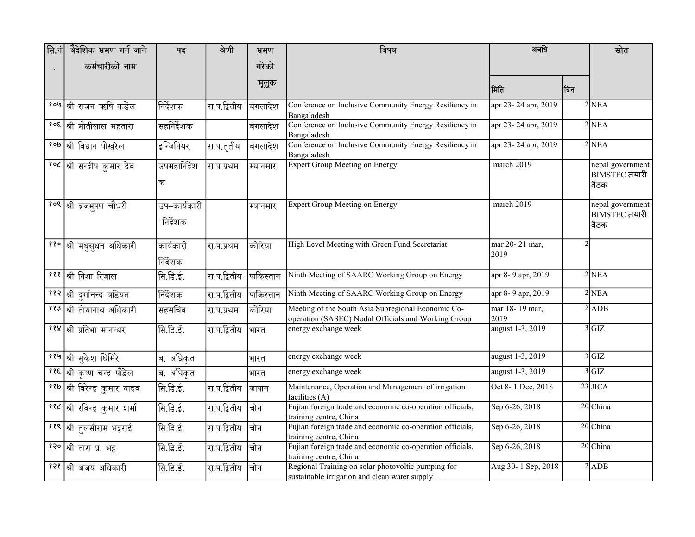| $ \mathsf{R}.\dot{\mathsf{n}} $ | वैदेशिक भ्रमण गर्न जाने               | पद                       | श्रेणी       | भ्रमण     | विषय                                                                                                      | अवधि                   |                | स्रोत                                     |
|---------------------------------|---------------------------------------|--------------------------|--------------|-----------|-----------------------------------------------------------------------------------------------------------|------------------------|----------------|-------------------------------------------|
|                                 | कर्मचारीको नाम                        |                          |              | गरेको     |                                                                                                           |                        |                |                                           |
|                                 |                                       |                          |              | मूलुक     |                                                                                                           | ∣मिति                  | दिन            |                                           |
|                                 | <sup>१०५  </sup> श्री राजन ऋषि कडेंल  | निर्देशक                 | रा.प.द्वितीय | बंगलादेश  | Conference on Inclusive Community Energy Resiliency in<br>Bangaladesh                                     | apr 23-24 apr, 2019    |                | 2NEA                                      |
|                                 | <sup>१०६</sup> श्री मोतीलाल महतारा    | सहनिर्देशक               |              | बंगलादेश  | Conference on Inclusive Community Energy Resiliency in<br>Bangaladesh                                     | apr 23-24 apr, 2019    |                | $2$ NEA                                   |
|                                 | <sup>१०७  </sup> श्री विधान पोखरेल    | इन्जिनियर                | रा.प.तृतीय   | बिंगलादेश | Conference on Inclusive Community Energy Resiliency in<br>Bangaladesh                                     | apr 23-24 apr, 2019    |                | $2$ NEA                                   |
|                                 | <u>१०८  श्री सन्दीप कुमार देव</u>     | उपमहानिर्देश<br>क        | रा.प.प्रथम   | म्यानमार  | <b>Expert Group Meeting on Energy</b>                                                                     | march 2019             |                | nepal government<br>BIMSTEC तयारी<br>वैठक |
|                                 | १०९ श्री ब्रजभूषण चौधरी               | उप–कार्यकारी<br>निर्देशक |              | म्यानमार  | <b>Expert Group Meeting on Energy</b>                                                                     | march 2019             |                | nepal government<br>BIMSTEC तयारी<br>वैठक |
|                                 | ११० श्री मधुसुधन अधिकारी              | कार्यकारी<br>निर्देशक    | ∣रा.प.प्रथम  | कोरिया    | High Level Meeting with Green Fund Secretariat                                                            | mar 20-21 mar,<br>2019 | $\overline{2}$ |                                           |
|                                 | १११ श्री निशा रिजाल                   | सि.डि.ई.                 | रा.प.द्वितीय | पाकिस्तान | Ninth Meeting of SAARC Working Group on Energy                                                            | apr 8-9 apr, 2019      |                | 2NEA                                      |
|                                 | ११२ श्री दुर्गानन्द बडियत             | निर्देशक                 | रा.प.द्वितीय | पाकिस्तान | Ninth Meeting of SAARC Working Group on Energy                                                            | apr 8-9 apr, 2019      |                | $2$ NEA                                   |
|                                 | <mark>११३ श्री तोयानाथ अधिकारी</mark> | सहसचिव                   | रा.प.प्रथम   | कोरिया    | Meeting of the South Asia Subregional Economic Co-<br>operation (SASEC) Nodal Officials and Working Group | mar 18-19 mar,<br>2019 |                | $2$ ADB                                   |
|                                 | <sup>११४  </sup> श्री प्रतिभा मानन्धर | सि.डि.ई.                 | रा.प.द्वितीय | भारत      | energy exchange week                                                                                      | august 1-3, 2019       |                | 3 GL                                      |
|                                 | <sup>११५</sup> श्री मुकेश घिमिरे      | ब. अधिकृत                |              | भारत      | energy exchange week                                                                                      | august 1-3, 2019       |                | 3 GIZ                                     |
|                                 | ११६ श्री कृष्ण चन्द्र पौडेल           | ब. अधिकृत                |              | भारत      | energy exchange week                                                                                      | august 1-3, 2019       |                | 3 GIZ                                     |
|                                 | ११७ श्री विरेन्द्र कुमार यादव         | सि.डि.ई.                 | रा.प.द्वितीय | जापान     | Maintenance, Operation and Management of irrigation<br>facilities (A)                                     | Oct 8-1 Dec, 2018      |                | $23$ JICA                                 |
|                                 | ११८ श्री रविन्द्र कुमार शर्मा         | सि.डि.ई.                 | रा.प.द्वितीय | चीिन      | Fujian foreign trade and economic co-operation officials,<br>training centre, China                       | Sep 6-26, 2018         |                | 20 China                                  |
|                                 | ११९ श्री तुलसीराम भट्टराई             | सि.डि.ई.                 | रा.प.द्वितीय | चीन       | Fujian foreign trade and economic co-operation officials,<br>training centre, China                       | Sep 6-26, 2018         |                | 20 China                                  |
|                                 | १२० श्री तारा प्र. भट्ट               | सि.डि.ई.                 | रा.प.द्वितीय | चीन       | Fujian foreign trade and economic co-operation officials,<br>training centre, China                       | Sep 6-26, 2018         |                | 20 China                                  |
|                                 | १२१ श्री अजय अधिकारी                  | सि.डि.ई.                 | रा.प.द्वितीय | चीन       | Regional Training on solar photovoltic pumping for<br>sustainable irrigation and clean water supply       | Aug 30-1 Sep, 2018     |                | $2$ ADB                                   |